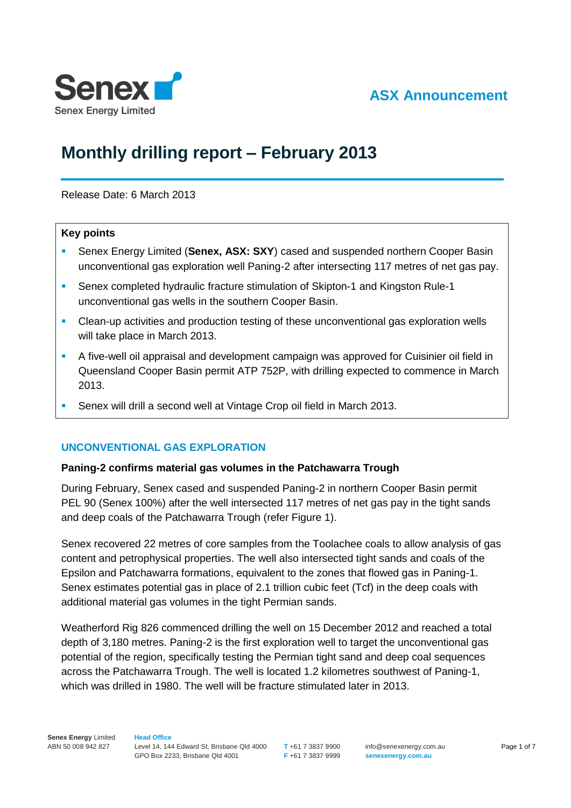



# **Monthly drilling report – February 2013**

Release Date: 6 March 2013

#### **Key points**

- Senex Energy Limited (**Senex, ASX: SXY**) cased and suspended northern Cooper Basin unconventional gas exploration well Paning-2 after intersecting 117 metres of net gas pay.
- Senex completed hydraulic fracture stimulation of Skipton-1 and Kingston Rule-1 unconventional gas wells in the southern Cooper Basin.
- Clean-up activities and production testing of these unconventional gas exploration wells will take place in March 2013.
- A five-well oil appraisal and development campaign was approved for Cuisinier oil field in Queensland Cooper Basin permit ATP 752P, with drilling expected to commence in March 2013.
- Senex will drill a second well at Vintage Crop oil field in March 2013.

### **UNCONVENTIONAL GAS EXPLORATION**

#### **Paning-2 confirms material gas volumes in the Patchawarra Trough**

During February, Senex cased and suspended Paning-2 in northern Cooper Basin permit PEL 90 (Senex 100%) after the well intersected 117 metres of net gas pay in the tight sands and deep coals of the Patchawarra Trough (refer Figure 1).

Senex recovered 22 metres of core samples from the Toolachee coals to allow analysis of gas content and petrophysical properties. The well also intersected tight sands and coals of the Epsilon and Patchawarra formations, equivalent to the zones that flowed gas in Paning-1. Senex estimates potential gas in place of 2.1 trillion cubic feet (Tcf) in the deep coals with additional material gas volumes in the tight Permian sands.

Weatherford Rig 826 commenced drilling the well on 15 December 2012 and reached a total depth of 3,180 metres. Paning-2 is the first exploration well to target the unconventional gas potential of the region, specifically testing the Permian tight sand and deep coal sequences across the Patchawarra Trough. The well is located 1.2 kilometres southwest of Paning-1, which was drilled in 1980. The well will be fracture stimulated later in 2013.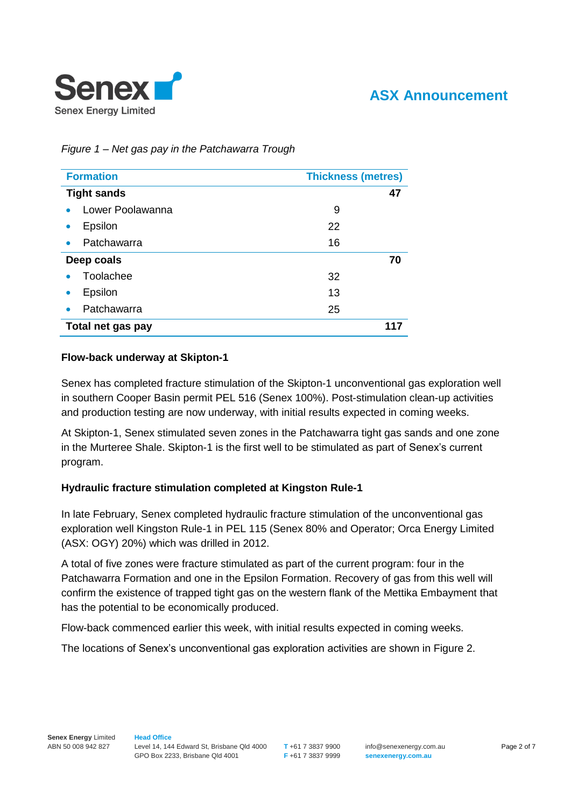

## **ASX Announcement**

*Figure 1 – Net gas pay in the Patchawarra Trough*

| <b>Formation</b>     | <b>Thickness (metres)</b> |     |
|----------------------|---------------------------|-----|
| <b>Tight sands</b>   |                           | 47  |
| Lower Poolawanna     | 9                         |     |
| Epsilon<br>$\bullet$ | 22                        |     |
| Patchawarra          | 16                        |     |
| Deep coals           |                           | 70  |
| Toolachee            | 32                        |     |
| Epsilon              | 13                        |     |
| Patchawarra          | 25                        |     |
| Total net gas pay    |                           | 117 |

#### **Flow-back underway at Skipton-1**

Senex has completed fracture stimulation of the Skipton-1 unconventional gas exploration well in southern Cooper Basin permit PEL 516 (Senex 100%). Post-stimulation clean-up activities and production testing are now underway, with initial results expected in coming weeks.

At Skipton-1, Senex stimulated seven zones in the Patchawarra tight gas sands and one zone in the Murteree Shale. Skipton-1 is the first well to be stimulated as part of Senex's current program.

### **Hydraulic fracture stimulation completed at Kingston Rule-1**

In late February, Senex completed hydraulic fracture stimulation of the unconventional gas exploration well Kingston Rule-1 in PEL 115 (Senex 80% and Operator; Orca Energy Limited (ASX: OGY) 20%) which was drilled in 2012.

A total of five zones were fracture stimulated as part of the current program: four in the Patchawarra Formation and one in the Epsilon Formation. Recovery of gas from this well will confirm the existence of trapped tight gas on the western flank of the Mettika Embayment that has the potential to be economically produced.

Flow-back commenced earlier this week, with initial results expected in coming weeks.

The locations of Senex's unconventional gas exploration activities are shown in Figure 2.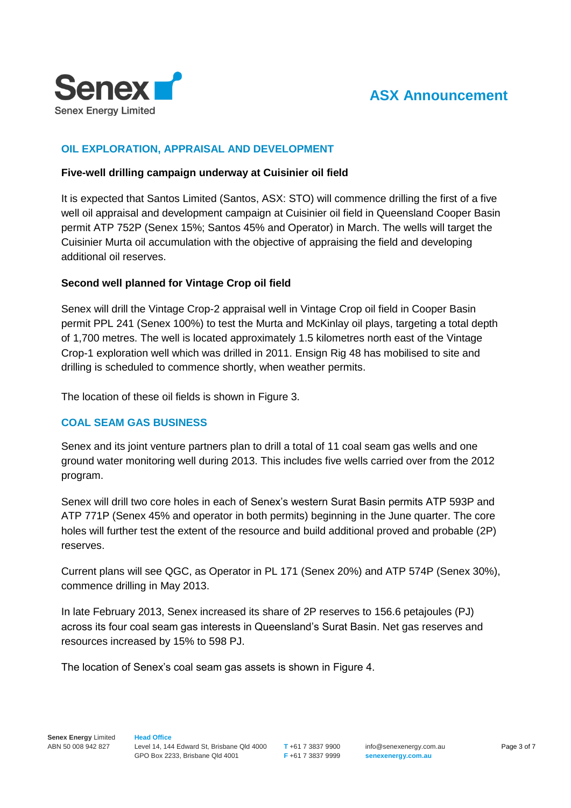



#### **OIL EXPLORATION, APPRAISAL AND DEVELOPMENT**

#### **Five-well drilling campaign underway at Cuisinier oil field**

It is expected that Santos Limited (Santos, ASX: STO) will commence drilling the first of a five well oil appraisal and development campaign at Cuisinier oil field in Queensland Cooper Basin permit ATP 752P (Senex 15%; Santos 45% and Operator) in March. The wells will target the Cuisinier Murta oil accumulation with the objective of appraising the field and developing additional oil reserves.

#### **Second well planned for Vintage Crop oil field**

Senex will drill the Vintage Crop-2 appraisal well in Vintage Crop oil field in Cooper Basin permit PPL 241 (Senex 100%) to test the Murta and McKinlay oil plays, targeting a total depth of 1,700 metres. The well is located approximately 1.5 kilometres north east of the Vintage Crop-1 exploration well which was drilled in 2011. Ensign Rig 48 has mobilised to site and drilling is scheduled to commence shortly, when weather permits.

The location of these oil fields is shown in Figure 3.

#### **COAL SEAM GAS BUSINESS**

Senex and its joint venture partners plan to drill a total of 11 coal seam gas wells and one ground water monitoring well during 2013. This includes five wells carried over from the 2012 program.

Senex will drill two core holes in each of Senex's western Surat Basin permits ATP 593P and ATP 771P (Senex 45% and operator in both permits) beginning in the June quarter. The core holes will further test the extent of the resource and build additional proved and probable (2P) reserves.

Current plans will see QGC, as Operator in PL 171 (Senex 20%) and ATP 574P (Senex 30%), commence drilling in May 2013.

In late February 2013, Senex increased its share of 2P reserves to 156.6 petajoules (PJ) across its four coal seam gas interests in Queensland's Surat Basin. Net gas reserves and resources increased by 15% to 598 PJ.

The location of Senex's coal seam gas assets is shown in Figure 4.

**T** +61 7 3837 9900 **F** +61 7 3837 9999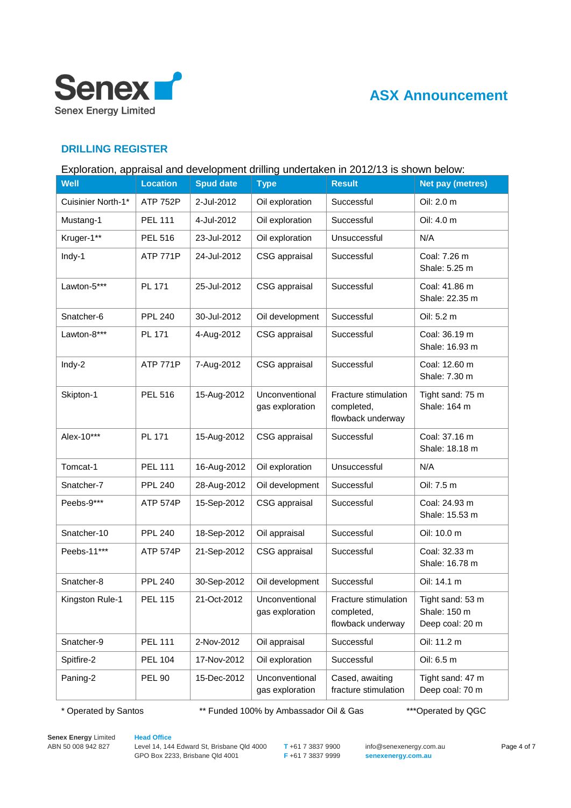



#### **DRILLING REGISTER**

Exploration, appraisal and development drilling undertaken in 2012/13 is shown below:

| Well               | <b>Location</b> | <b>Spud date</b> | <b>Type</b>                       | <b>Result</b>                                           | <b>Net pay (metres)</b>                             |
|--------------------|-----------------|------------------|-----------------------------------|---------------------------------------------------------|-----------------------------------------------------|
| Cuisinier North-1* | <b>ATP 752P</b> | 2-Jul-2012       | Oil exploration                   | Successful                                              | Oil: 2.0 m                                          |
| Mustang-1          | <b>PEL 111</b>  | 4-Jul-2012       | Oil exploration                   | Successful                                              | Oil: 4.0 m                                          |
| Kruger-1**         | <b>PEL 516</b>  | 23-Jul-2012      | Oil exploration                   | Unsuccessful                                            | N/A                                                 |
| Indy-1             | <b>ATP 771P</b> | 24-Jul-2012      | CSG appraisal                     | Successful                                              | Coal: 7.26 m<br>Shale: 5.25 m                       |
| Lawton-5***        | PL 171          | 25-Jul-2012      | CSG appraisal                     | Successful                                              | Coal: 41.86 m<br>Shale: 22.35 m                     |
| Snatcher-6         | <b>PPL 240</b>  | 30-Jul-2012      | Oil development                   | Successful                                              | Oil: 5.2 m                                          |
| Lawton-8***        | PL 171          | 4-Aug-2012       | CSG appraisal                     | Successful                                              | Coal: 36.19 m<br>Shale: 16.93 m                     |
| Indy-2             | <b>ATP 771P</b> | 7-Aug-2012       | CSG appraisal                     | Successful                                              | Coal: 12.60 m<br>Shale: 7.30 m                      |
| Skipton-1          | <b>PEL 516</b>  | 15-Aug-2012      | Unconventional<br>gas exploration | Fracture stimulation<br>completed,<br>flowback underway | Tight sand: 75 m<br>Shale: 164 m                    |
| Alex-10***         | <b>PL 171</b>   | 15-Aug-2012      | CSG appraisal                     | Successful                                              | Coal: 37.16 m<br>Shale: 18.18 m                     |
| Tomcat-1           | <b>PEL 111</b>  | 16-Aug-2012      | Oil exploration                   | Unsuccessful                                            | N/A                                                 |
| Snatcher-7         | <b>PPL 240</b>  | 28-Aug-2012      | Oil development                   | Successful                                              | Oil: 7.5 m                                          |
| Peebs-9***         | <b>ATP 574P</b> | 15-Sep-2012      | CSG appraisal                     | Successful                                              | Coal: 24.93 m<br>Shale: 15.53 m                     |
| Snatcher-10        | <b>PPL 240</b>  | 18-Sep-2012      | Oil appraisal                     | Successful                                              | Oil: 10.0 m                                         |
| Peebs-11***        | <b>ATP 574P</b> | 21-Sep-2012      | CSG appraisal                     | Successful                                              | Coal: 32.33 m<br>Shale: 16.78 m                     |
| Snatcher-8         | <b>PPL 240</b>  | 30-Sep-2012      | Oil development                   | Successful                                              | Oil: 14.1 m                                         |
| Kingston Rule-1    | <b>PEL 115</b>  | 21-Oct-2012      | Unconventional<br>gas exploration | Fracture stimulation<br>completed,<br>flowback underway | Tight sand: 53 m<br>Shale: 150 m<br>Deep coal: 20 m |
| Snatcher-9         | <b>PEL 111</b>  | 2-Nov-2012       | Oil appraisal                     | Successful                                              | Oil: 11.2 m                                         |
| Spitfire-2         | <b>PEL 104</b>  | 17-Nov-2012      | Oil exploration                   | Successful                                              | Oil: 6.5 m                                          |
| Paning-2           | <b>PEL 90</b>   | 15-Dec-2012      | Unconventional<br>gas exploration | Cased, awaiting<br>fracture stimulation                 | Tight sand: 47 m<br>Deep coal: 70 m                 |

\* Operated by Santos \*\* Funded 100% by Ambassador Oil & Gas \*\*\*Operated by QGC

**Senex Energy** Limited ABN 50 008 942 827

**Head Office** Level 14, 144 Edward St, Brisbane Qld 4000 GPO Box 2233, Brisbane Qld 4001

**T** +61 7 3837 9900 **F** +61 7 3837 9999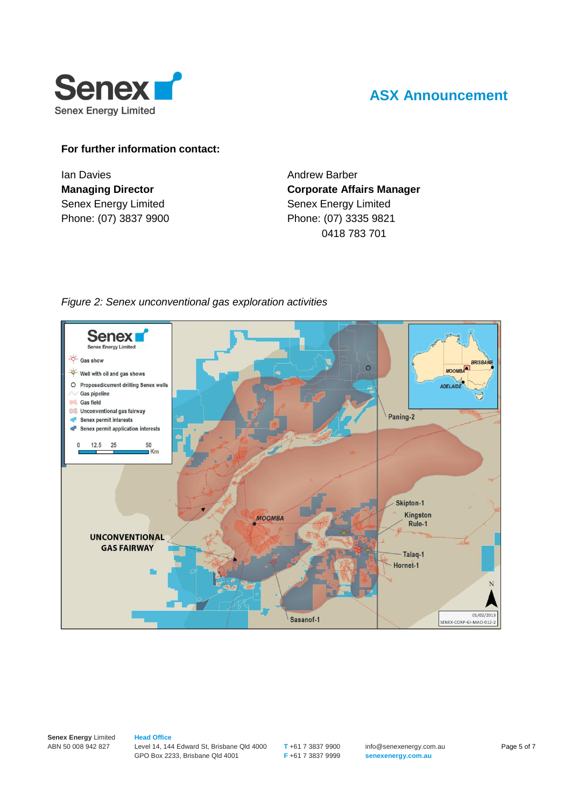

## **ASX Announcement**

#### **For further information contact:**

Ian Davies **Managing Director** Senex Energy Limited Phone: (07) 3837 9900 Andrew Barber **Corporate Affairs Manager** Senex Energy Limited Phone: (07) 3335 9821 0418 783 701



#### *Figure 2: Senex unconventional gas exploration activities*

**Senex Energy** Limited ABN 50 008 942 827

**Head Office** Level 14, 144 Edward St, Brisbane Qld 4000 GPO Box 2233, Brisbane Qld 4001

**T** +61 7 3837 9900 **F** +61 7 3837 9999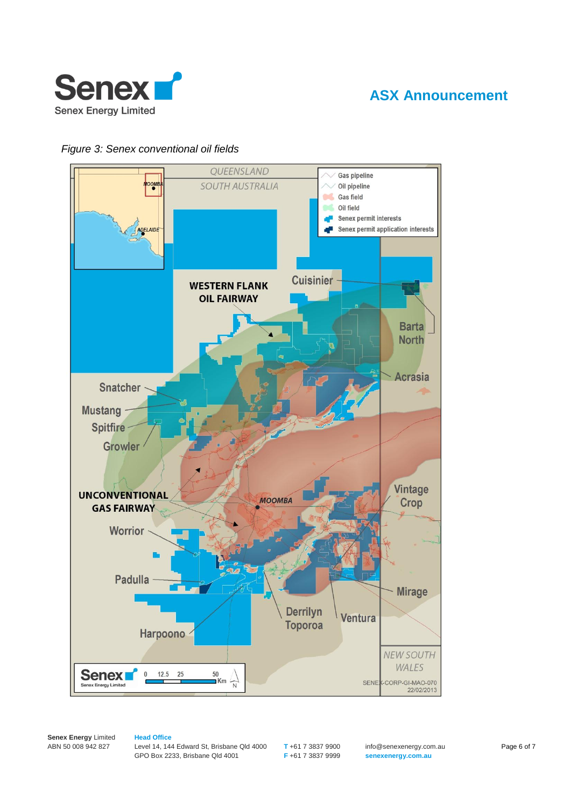

### **ASX Announcement**

#### *Figure 3: Senex conventional oil fields*



**Senex Energy** Limited ABN 50 008 942 827

**Head Office**

Level 14, 144 Edward St, Brisbane Qld 4000 GPO Box 2233, Brisbane Qld 4001

**T** +61 7 3837 9900 **F** +61 7 3837 9999